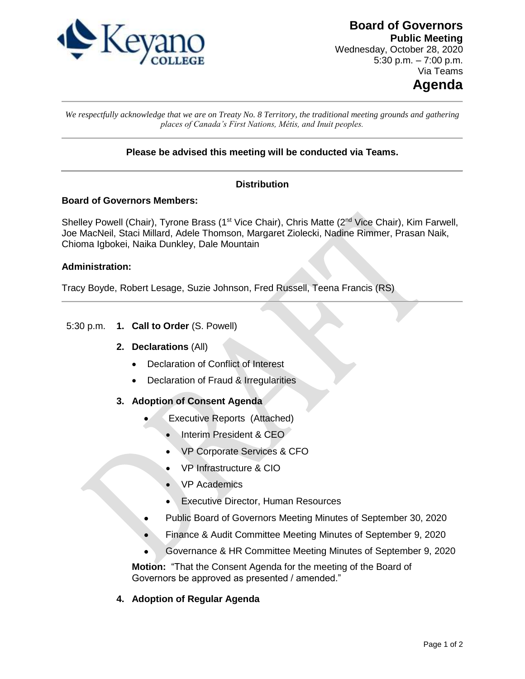

**Board of Governors Public Meeting** Wednesday, October 28, 2020 5:30 p.m.  $-7:00$  p.m. Via Teams

# **Agenda**

*We respectfully acknowledge that we are on Treaty No. 8 Territory, the traditional meeting grounds and gathering places of Canada's First Nations, Métis, and Inuit peoples.*

## **Please be advised this meeting will be conducted via Teams.**

### **Distribution**

#### **Board of Governors Members:**

Shelley Powell (Chair), Tyrone Brass (1<sup>st</sup> Vice Chair), Chris Matte (2<sup>nd</sup> Vice Chair), Kim Farwell, Joe MacNeil, Staci Millard, Adele Thomson, Margaret Ziolecki, Nadine Rimmer, Prasan Naik, Chioma Igbokei, Naika Dunkley, Dale Mountain

#### **Administration:**

Tracy Boyde, Robert Lesage, Suzie Johnson, Fred Russell, Teena Francis (RS)

#### 5:30 p.m. **1. Call to Order** (S. Powell)

#### **2. Declarations** (All)

- Declaration of Conflict of Interest
- Declaration of Fraud & Irregularities
- **3. Adoption of Consent Agenda** 
	- Executive Reports (Attached)
		- Interim President & CEO
		- VP Corporate Services & CFO
		- VP Infrastructure & CIO
		- VP Academics
		- Executive Director, Human Resources
	- Public Board of Governors Meeting Minutes of September 30, 2020
	- Finance & Audit Committee Meeting Minutes of September 9, 2020
	- Governance & HR Committee Meeting Minutes of September 9, 2020

**Motion:** "That the Consent Agenda for the meeting of the Board of Governors be approved as presented / amended."

#### **4. Adoption of Regular Agenda**